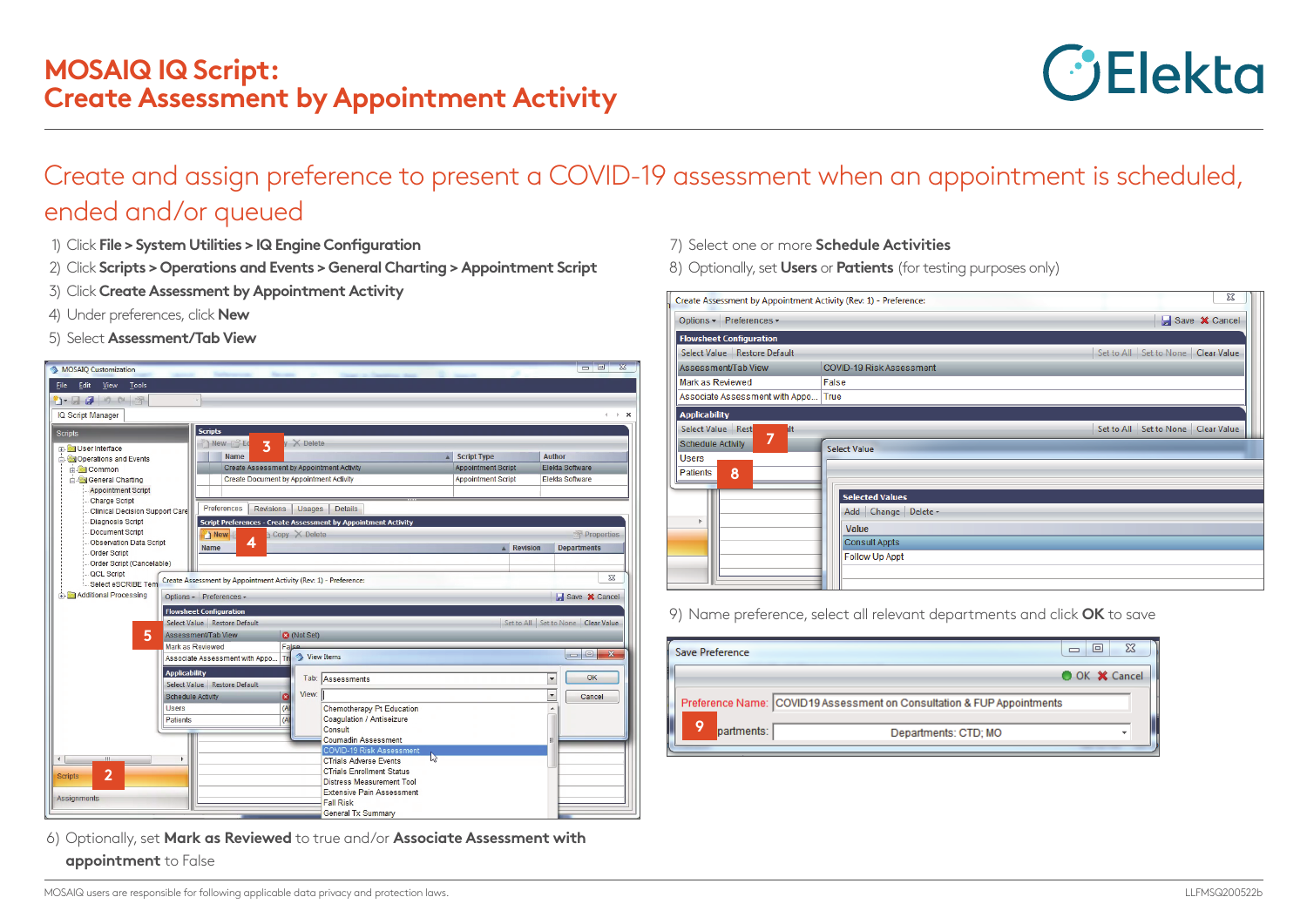

## Create and assign preference to present a COVID-19 assessment when an appointment is scheduled, ended and/or queued

- 1) Click **File > System Utilities > IQ Engine Configuration**
- 2) Click **Scripts > Operations and Events > General Charting > Appointment Script**
- 3) Click **Create Assessment by Appointment Activity**
- 4) Under preferences, click **New**
- 5) Select **Assessment/Tab View**

| MOSAIO Customization                                                                                                                                                                                    |                                                                                                                                                                                                                                                                                              |                                                                      |                                                                       | $\mathbb{Z}$<br><b>or</b> 0                                                                                                     | Assessment/Tab View                                                   |
|---------------------------------------------------------------------------------------------------------------------------------------------------------------------------------------------------------|----------------------------------------------------------------------------------------------------------------------------------------------------------------------------------------------------------------------------------------------------------------------------------------------|----------------------------------------------------------------------|-----------------------------------------------------------------------|---------------------------------------------------------------------------------------------------------------------------------|-----------------------------------------------------------------------|
| File Edit View<br>Tools                                                                                                                                                                                 |                                                                                                                                                                                                                                                                                              |                                                                      |                                                                       |                                                                                                                                 | Mark as Reviewed                                                      |
| $\mathbf{D} \cdot \mathbf{H}$ , we see the set                                                                                                                                                          |                                                                                                                                                                                                                                                                                              |                                                                      |                                                                       |                                                                                                                                 | Associate Assessment                                                  |
| IQ Script Manager                                                                                                                                                                                       |                                                                                                                                                                                                                                                                                              |                                                                      |                                                                       | $\leftarrow$ $\rightarrow$ $\rightarrow$                                                                                        | <b>Applicability</b>                                                  |
|                                                                                                                                                                                                         | <b>Scripts</b>                                                                                                                                                                                                                                                                               |                                                                      |                                                                       |                                                                                                                                 | Select Value Rest                                                     |
| Scripts<br>User Interface<br>Operations and Events<br><b>Common</b><br>General Charting<br>Appointment Script<br>Charge Script<br>Clinical Decision Support Care<br>Diagnosis Script<br>Document Script | $\sqrt{X}$ Delete<br>New <b>B</b> Ed<br>$\overline{\mathbf{3}}$<br>Name<br>Create Assessment by Appointment Activity<br>Create Document by Appointment Activity<br>Preferences<br><b>Revisions</b><br>Script Preferences - Create Assessment by Appointment Activity<br>Copy X Delete<br>New | <b>Details</b><br><b>Usages</b>                                      | Script Type<br><b>Appointment Script</b><br><b>Appointment Script</b> | <b>Author</b><br>Elekta Software<br><b>Elekta Software</b><br>Properties                                                        | 7<br><b>Schedule Activity</b><br><b>Users</b><br><b>Patients</b><br>8 |
| Observation Data Script<br><b>Order Script</b><br>Order Script (Cancelable)<br>QCL Script<br>Select eSCRIBE Tem                                                                                         | 4<br><b>Name</b><br>Create Assessment by Appointment Activity (Rev: 1) - Preference:                                                                                                                                                                                                         |                                                                      | <b>Revision</b>                                                       | <b>Departments</b><br>$\Sigma$                                                                                                  |                                                                       |
| Additional Processing                                                                                                                                                                                   | Options - Preferences -                                                                                                                                                                                                                                                                      |                                                                      |                                                                       | Save <b>X</b> Cancel                                                                                                            |                                                                       |
|                                                                                                                                                                                                         | <b>Flowsheet Configuration</b>                                                                                                                                                                                                                                                               |                                                                      |                                                                       |                                                                                                                                 |                                                                       |
|                                                                                                                                                                                                         | Select Value Restore Default                                                                                                                                                                                                                                                                 |                                                                      |                                                                       | Set to All   Set to None   Clear Value                                                                                          | 9) Name prefer                                                        |
| 5                                                                                                                                                                                                       | Assessment/Tab View<br><b>3</b> (Not Set)                                                                                                                                                                                                                                                    |                                                                      |                                                                       |                                                                                                                                 |                                                                       |
|                                                                                                                                                                                                         | Mark as Reviewed<br>False                                                                                                                                                                                                                                                                    |                                                                      |                                                                       | $\begin{array}{c c c c c} \hline \multicolumn{3}{c }{\mathbf{0}} & \multicolumn{3}{c }{\mathbf{0}} \end{array}$<br>$\mathbf{x}$ | Save Preference                                                       |
|                                                                                                                                                                                                         | Associate Assessment with Appo<br>Tri                                                                                                                                                                                                                                                        | <b>3</b> View Items                                                  |                                                                       |                                                                                                                                 |                                                                       |
|                                                                                                                                                                                                         | <b>Applicability</b><br>Select Value Restore Default                                                                                                                                                                                                                                         | Tab: Assessments                                                     |                                                                       | OK<br>$\overline{\phantom{a}}$                                                                                                  |                                                                       |
|                                                                                                                                                                                                         | ø<br><b>Schedule Activity</b>                                                                                                                                                                                                                                                                | View:                                                                |                                                                       | $\blacktriangledown$<br>Cancel                                                                                                  | Preference Name:                                                      |
|                                                                                                                                                                                                         | (A)<br><b>Users</b><br>(A)                                                                                                                                                                                                                                                                   | Chemotherapy Pt Education<br>Coaqulation / Antiseizure               |                                                                       |                                                                                                                                 |                                                                       |
|                                                                                                                                                                                                         | Patients                                                                                                                                                                                                                                                                                     | Consult                                                              |                                                                       |                                                                                                                                 | 9<br>partments:                                                       |
|                                                                                                                                                                                                         |                                                                                                                                                                                                                                                                                              | <b>Coumadin Assessment</b>                                           |                                                                       |                                                                                                                                 |                                                                       |
|                                                                                                                                                                                                         |                                                                                                                                                                                                                                                                                              | <b>COVID-19 Risk Assessment</b>                                      |                                                                       |                                                                                                                                 |                                                                       |
| $\leftarrow$<br>$\mathbf{m}$                                                                                                                                                                            | ٠                                                                                                                                                                                                                                                                                            | <b>CTrials Adverse Events</b>                                        |                                                                       |                                                                                                                                 |                                                                       |
| $\overline{2}$<br><b>Scripts</b>                                                                                                                                                                        |                                                                                                                                                                                                                                                                                              | <b>CTrials Enrollment Status</b><br><b>Distress Measurement Tool</b> |                                                                       |                                                                                                                                 |                                                                       |
|                                                                                                                                                                                                         |                                                                                                                                                                                                                                                                                              | <b>Extensive Pain Assessment</b>                                     |                                                                       |                                                                                                                                 |                                                                       |
| Assignments                                                                                                                                                                                             |                                                                                                                                                                                                                                                                                              | <b>Fall Risk</b>                                                     |                                                                       |                                                                                                                                 |                                                                       |
|                                                                                                                                                                                                         |                                                                                                                                                                                                                                                                                              | <b>General Tx Summary</b>                                            |                                                                       |                                                                                                                                 |                                                                       |

- 6) Optionally, set **Mark as Reviewed** to true and/or **Associate Assessment with** 
	- **appointment** to False
- 7) Select one or more **Schedule Activities**
- 8) Optionally, set **Users** or **Patients** (for testing purposes only)

| Create Assessment by Appointment Activity (Rev: 1) - Preference:                     |                                        | $\Sigma$                           |
|--------------------------------------------------------------------------------------|----------------------------------------|------------------------------------|
| Options + Preferences +                                                              | Save <b>X</b> Cancel                   |                                    |
| <b>Flowsheet Configuration</b>                                                       |                                        |                                    |
| Select Value   Restore Default                                                       | Set to All   Set to None   Clear Value |                                    |
| Assessment/Tab View                                                                  | COVID-19 Risk Assessment               |                                    |
| Mark as Reviewed                                                                     |                                        |                                    |
| Associate Assessment with Appo                                                       | True                                   |                                    |
| <b>Applicability</b>                                                                 |                                        |                                    |
| Select Value Rest<br>llt.<br>7<br>Schedule Activity<br><b>Users</b><br>Patients<br>8 | <b>Select Value</b>                    | Set to All Set to None Clear Value |
|                                                                                      | <b>Selected Values</b>                 |                                    |

9) Name preference, select all relevant departments and click **OK** to save

| Save Preference | 23<br>$\blacksquare$                                                   |
|-----------------|------------------------------------------------------------------------|
|                 | O OK X Cancel                                                          |
|                 | Preference Name: COVID19 Assessment on Consultation & FUP Appointments |
| partments:      | Departments: CTD; MO                                                   |